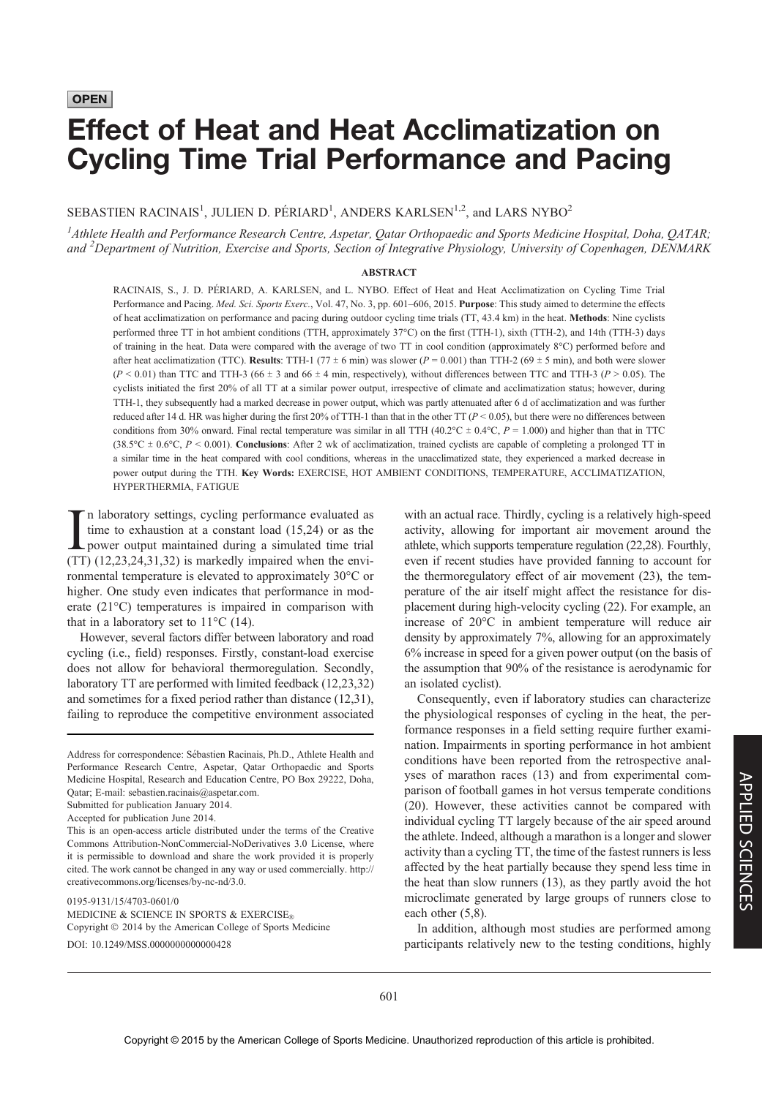**OPEN** 

# Effect of Heat and Heat Acclimatization on Cycling Time Trial Performance and Pacing

SEBASTIEN RACINAIS<sup>1</sup>, JULIEN D. PÉRIARD<sup>1</sup>, ANDERS KARLSEN<sup>1,2</sup>, and LARS NYBO<sup>2</sup>

<sup>1</sup> Athlete Health and Performance Research Centre, Aspetar, Qatar Orthopaedic and Sports Medicine Hospital, Doha, QATAR; and <sup>2</sup>Department of Nutrition, Exercise and Sports, Section of Integrative Physiology, University of Copenhagen, DENMARK

#### ABSTRACT

RACINAIS, S., J. D. PÉRIARD, A. KARLSEN, and L. NYBO. Effect of Heat and Heat Acclimatization on Cycling Time Trial Performance and Pacing. Med. Sci. Sports Exerc., Vol. 47, No. 3, pp. 601-606, 2015. Purpose: This study aimed to determine the effects of heat acclimatization on performance and pacing during outdoor cycling time trials (TT, 43.4 km) in the heat. Methods: Nine cyclists performed three TT in hot ambient conditions (TTH, approximately 37-C) on the first (TTH-1), sixth (TTH-2), and 14th (TTH-3) days of training in the heat. Data were compared with the average of two TT in cool condition (approximately 8°C) performed before and after heat acclimatization (TTC). Results: TTH-1 (77  $\pm$  6 min) was slower (P = 0.001) than TTH-2 (69  $\pm$  5 min), and both were slower  $(P < 0.01)$  than TTC and TTH-3 (66  $\pm$  3 and 66  $\pm$  4 min, respectively), without differences between TTC and TTH-3 (P > 0.05). The cyclists initiated the first 20% of all TT at a similar power output, irrespective of climate and acclimatization status; however, during TTH-1, they subsequently had a marked decrease in power output, which was partly attenuated after 6 d of acclimatization and was further reduced after 14 d. HR was higher during the first 20% of TTH-1 than that in the other TT ( $P < 0.05$ ), but there were no differences between conditions from 30% onward. Final rectal temperature was similar in all TTH (40.2 $^{\circ}$ C ± 0.4 $^{\circ}$ C, P = 1.000) and higher than that in TTC (38.5°C  $\pm$  0.6°C, P < 0.001). Conclusions: After 2 wk of acclimatization, trained cyclists are capable of completing a prolonged TT in a similar time in the heat compared with cool conditions, whereas in the unacclimatized state, they experienced a marked decrease in power output during the TTH. Key Words: EXERCISE, HOT AMBIENT CONDITIONS, TEMPERATURE, ACCLIMATIZATION, HYPERTHERMIA, FATIGUE

In laboratory settings, cycling performance evaluated as<br>time to exhaustion at a constant load (15,24) or as the<br>power output maintained during a simulated time trial<br>(TT) (12.23.24.31.32) is markedly impaired when the en n laboratory settings, cycling performance evaluated as time to exhaustion at a constant load (15,24) or as the (TT) (12,23,24,31,32) is markedly impaired when the environmental temperature is elevated to approximately 30°C or higher. One study even indicates that performance in moderate  $(21^{\circ}$ C) temperatures is impaired in comparison with that in a laboratory set to  $11^{\circ}$ C (14).

However, several factors differ between laboratory and road cycling (i.e., field) responses. Firstly, constant-load exercise does not allow for behavioral thermoregulation. Secondly, laboratory TT are performed with limited feedback (12,23,32) and sometimes for a fixed period rather than distance (12,31), failing to reproduce the competitive environment associated

This is an open-access article distributed under the terms of the Creative Commons Attribution-NonCommercial-NoDerivatives 3.0 License, where it is permissible to download and share the work provided it is properly cited. The work cannot be changed in any way or used commercially. http:// creativecommons.org/licenses/by-nc-nd/3.0.

0195-9131/15/4703-0601/0

MEDICINE & SCIENCE IN SPORTS & EXERCISE<sup>®</sup> Copyright  $@$  2014 by the American College of Sports Medicine DOI: 10.1249/MSS.0000000000000428

with an actual race. Thirdly, cycling is a relatively high-speed activity, allowing for important air movement around the athlete, which supports temperature regulation (22,28). Fourthly, even if recent studies have provided fanning to account for the thermoregulatory effect of air movement (23), the temperature of the air itself might affect the resistance for displacement during high-velocity cycling (22). For example, an increase of  $20^{\circ}$ C in ambient temperature will reduce air density by approximately 7%, allowing for an approximately 6% increase in speed for a given power output (on the basis of the assumption that 90% of the resistance is aerodynamic for an isolated cyclist).

Consequently, even if laboratory studies can characterize the physiological responses of cycling in the heat, the performance responses in a field setting require further examination. Impairments in sporting performance in hot ambient conditions have been reported from the retrospective analyses of marathon races (13) and from experimental comparison of football games in hot versus temperate conditions (20). However, these activities cannot be compared with individual cycling TT largely because of the air speed around the athlete. Indeed, although a marathon is a longer and slower activity than a cycling TT, the time of the fastest runners is less affected by the heat partially because they spend less time in the heat than slow runners (13), as they partly avoid the hot microclimate generated by large groups of runners close to each other (5,8).

In addition, although most studies are performed among participants relatively new to the testing conditions, highly

Address for correspondence: Sébastien Racinais, Ph.D., Athlete Health and Performance Research Centre, Aspetar, Qatar Orthopaedic and Sports Medicine Hospital, Research and Education Centre, PO Box 29222, Doha, Qatar; E-mail: sebastien.racinais@aspetar.com.

Submitted for publication January 2014.

Accepted for publication June 2014.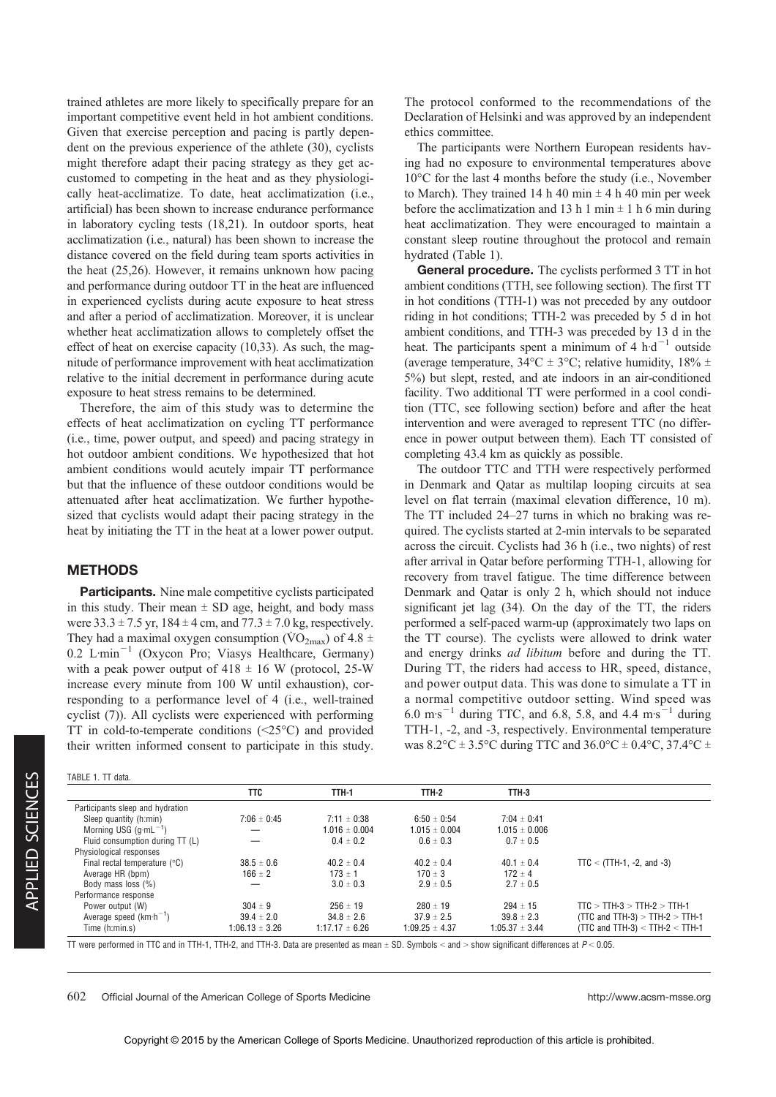trained athletes are more likely to specifically prepare for an important competitive event held in hot ambient conditions. Given that exercise perception and pacing is partly dependent on the previous experience of the athlete (30), cyclists might therefore adapt their pacing strategy as they get accustomed to competing in the heat and as they physiologically heat-acclimatize. To date, heat acclimatization (i.e., artificial) has been shown to increase endurance performance in laboratory cycling tests (18,21). In outdoor sports, heat acclimatization (i.e., natural) has been shown to increase the distance covered on the field during team sports activities in the heat (25,26). However, it remains unknown how pacing and performance during outdoor TT in the heat are influenced in experienced cyclists during acute exposure to heat stress and after a period of acclimatization. Moreover, it is unclear whether heat acclimatization allows to completely offset the effect of heat on exercise capacity (10,33). As such, the magnitude of performance improvement with heat acclimatization relative to the initial decrement in performance during acute exposure to heat stress remains to be determined.

Therefore, the aim of this study was to determine the effects of heat acclimatization on cycling TT performance (i.e., time, power output, and speed) and pacing strategy in hot outdoor ambient conditions. We hypothesized that hot ambient conditions would acutely impair TT performance but that the influence of these outdoor conditions would be attenuated after heat acclimatization. We further hypothesized that cyclists would adapt their pacing strategy in the heat by initiating the TT in the heat at a lower power output.

## **METHODS**

**Participants.** Nine male competitive cyclists participated in this study. Their mean  $\pm$  SD age, height, and body mass were  $33.3 \pm 7.5$  yr,  $184 \pm 4$  cm, and  $77.3 \pm 7.0$  kg, respectively. They had a maximal oxygen consumption ( $\rm \dot{VO}_{2max}$ ) of 4.8  $\pm$ 0.2 L $min^{-1}$  (Oxycon Pro; Viasys Healthcare, Germany) with a peak power output of  $418 \pm 16$  W (protocol, 25-W increase every minute from 100 W until exhaustion), corresponding to a performance level of 4 (i.e., well-trained cyclist (7)). All cyclists were experienced with performing TT in cold-to-temperate conditions  $(\leq 25^{\circ}C)$  and provided their written informed consent to participate in this study. The protocol conformed to the recommendations of the Declaration of Helsinki and was approved by an independent ethics committee.

The participants were Northern European residents having had no exposure to environmental temperatures above  $10^{\circ}$ C for the last 4 months before the study (i.e., November to March). They trained 14 h 40 min  $\pm$  4 h 40 min per week before the acclimatization and 13 h 1 min  $\pm$  1 h 6 min during heat acclimatization. They were encouraged to maintain a constant sleep routine throughout the protocol and remain hydrated (Table 1).

General procedure. The cyclists performed 3 TT in hot ambient conditions (TTH, see following section). The first TT in hot conditions (TTH-1) was not preceded by any outdoor riding in hot conditions; TTH-2 was preceded by 5 d in hot ambient conditions, and TTH-3 was preceded by 13 d in the heat. The participants spent a minimum of 4  $h d^{-1}$  outside (average temperature,  $34^{\circ}$ C  $\pm$  3°C; relative humidity,  $18\% \pm$ 5%) but slept, rested, and ate indoors in an air-conditioned facility. Two additional TT were performed in a cool condition (TTC, see following section) before and after the heat intervention and were averaged to represent TTC (no difference in power output between them). Each TT consisted of completing 43.4 km as quickly as possible.

The outdoor TTC and TTH were respectively performed in Denmark and Qatar as multilap looping circuits at sea level on flat terrain (maximal elevation difference, 10 m). The TT included 24–27 turns in which no braking was required. The cyclists started at 2-min intervals to be separated across the circuit. Cyclists had 36 h (i.e., two nights) of rest after arrival in Qatar before performing TTH-1, allowing for recovery from travel fatigue. The time difference between Denmark and Qatar is only 2 h, which should not induce significant jet lag (34). On the day of the TT, the riders performed a self-paced warm-up (approximately two laps on the TT course). The cyclists were allowed to drink water and energy drinks ad libitum before and during the TT. During TT, the riders had access to HR, speed, distance, and power output data. This was done to simulate a TT in a normal competitive outdoor setting. Wind speed was 6.0 m·s<sup>-1</sup> during TTC, and 6.8, 5.8, and 4.4 m·s<sup>-1</sup> during TTH-1, -2, and -3, respectively. Environmental temperature was  $8.2^{\circ}\text{C} \pm 3.5^{\circ}\text{C}$  during TTC and  $36.0^{\circ}\text{C} \pm 0.4^{\circ}\text{C}$ ,  $37.4^{\circ}\text{C} \pm 0.4^{\circ}\text{C}$ 

| TABLE 1. TT data.                      |                    |                    |                    |                    |                                     |
|----------------------------------------|--------------------|--------------------|--------------------|--------------------|-------------------------------------|
|                                        | TTC                | TTH-1              | TTH-2              | TTH-3              |                                     |
| Participants sleep and hydration       |                    |                    |                    |                    |                                     |
| Sleep quantity (h:min)                 | $7:06 \pm 0:45$    | $7:11 \pm 0:38$    | $6.50 \pm 0.54$    | $7:04 \pm 0:41$    |                                     |
| Morning USG $(q\cdot mL^{-1})$         |                    | $1.016 \pm 0.004$  | $1.015 \pm 0.004$  | $1.015 \pm 0.006$  |                                     |
| Fluid consumption during TT (L)        |                    | $0.4 \pm 0.2$      | $0.6 \pm 0.3$      | $0.7 \pm 0.5$      |                                     |
| Physiological responses                |                    |                    |                    |                    |                                     |
| Final rectal temperature $(^{\circ}C)$ | $38.5 \pm 0.6$     | $40.2 \pm 0.4$     | $40.2 \pm 0.4$     | $40.1 \pm 0.4$     | $TTC < (TTH-1, -2, and -3)$         |
| Average HR (bpm)                       | $166 \pm 2$        | $173 \pm 1$        | $170 \pm 3$        | $172 \pm 4$        |                                     |
| Body mass loss (%)                     |                    | $3.0 \pm 0.3$      | $2.9 \pm 0.5$      | $2.7 \pm 0.5$      |                                     |
| Performance response                   |                    |                    |                    |                    |                                     |
| Power output (W)                       | $304 \pm 9$        | $256 \pm 19$       | $280 \pm 19$       | $294 \pm 15$       | $TTC > TTH-3 > TTH-2 > TTH-1$       |
| Average speed $(km \cdot h^{-1})$      | $39.4 \pm 2.0$     | $34.8 \pm 2.6$     | $37.9 \pm 2.5$     | $39.8 \pm 2.3$     | (TTC and TTH-3) $>$ TTH-2 $>$ TTH-1 |
| Time (h:min.s)                         | $1:06.13 \pm 3.26$ | $1:17.17 \pm 6.26$ | $1:09.25 \pm 4.37$ | $1:05.37 \pm 3.44$ | (TTC and TTH-3) < TTH-2 < TTH-1     |

TT were performed in TTC and in TTH-1, TTH-2, and TTH-3. Data are presented as mean  $\pm$  SD. Symbols  $\lt$  and  $\gt$  show significant differences at  $P \lt 0.05$ .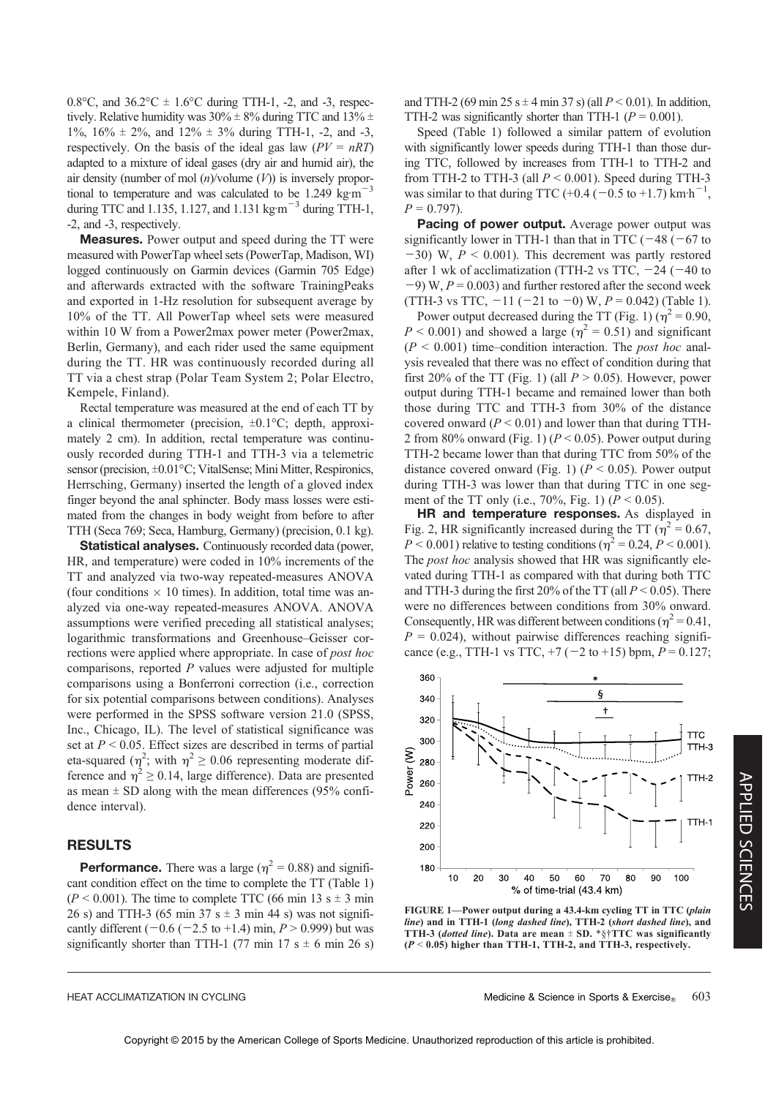0.8 $\degree$ C, and 36.2 $\degree$ C  $\pm$  1.6 $\degree$ C during TTH-1, -2, and -3, respectively. Relative humidity was  $30\% \pm 8\%$  during TTC and  $13\% \pm$ 1%,  $16\% \pm 2\%$ , and  $12\% \pm 3\%$  during TTH-1, -2, and -3, respectively. On the basis of the ideal gas law  $(PV = nRT)$ adapted to a mixture of ideal gases (dry air and humid air), the air density (number of mol  $(n)$ /volume  $(V)$ ) is inversely proportional to temperature and was calculated to be 1.249 kg·m<sup> $-3$ </sup> during TTC and 1.135, 1.127, and 1.131 kg $m^{-3}$  during TTH-1, -2, and -3, respectively.

Measures. Power output and speed during the TT were measured with PowerTap wheel sets (PowerTap, Madison, WI) logged continuously on Garmin devices (Garmin 705 Edge) and afterwards extracted with the software TrainingPeaks and exported in 1-Hz resolution for subsequent average by 10% of the TT. All PowerTap wheel sets were measured within 10 W from a Power2max power meter (Power2max, Berlin, Germany), and each rider used the same equipment during the TT. HR was continuously recorded during all TT via a chest strap (Polar Team System 2; Polar Electro, Kempele, Finland).

Rectal temperature was measured at the end of each TT by a clinical thermometer (precision,  $\pm 0.1^{\circ}$ C; depth, approximately 2 cm). In addition, rectal temperature was continuously recorded during TTH-1 and TTH-3 via a telemetric sensor (precision, ±0.01°C; VitalSense; Mini Mitter, Respironics, Herrsching, Germany) inserted the length of a gloved index finger beyond the anal sphincter. Body mass losses were estimated from the changes in body weight from before to after TTH (Seca 769; Seca, Hamburg, Germany) (precision, 0.1 kg).

Statistical analyses. Continuously recorded data (power, HR, and temperature) were coded in 10% increments of the TT and analyzed via two-way repeated-measures ANOVA (four conditions  $\times$  10 times). In addition, total time was analyzed via one-way repeated-measures ANOVA. ANOVA assumptions were verified preceding all statistical analyses; logarithmic transformations and Greenhouse–Geisser corrections were applied where appropriate. In case of *post hoc* comparisons, reported  $P$  values were adjusted for multiple comparisons using a Bonferroni correction (i.e., correction for six potential comparisons between conditions). Analyses were performed in the SPSS software version 21.0 (SPSS, Inc., Chicago, IL). The level of statistical significance was set at  $P < 0.05$ . Effect sizes are described in terms of partial eta-squared  $(\eta^2$ ; with  $\eta^2 \ge 0.06$  representing moderate difference and  $\eta^2 \ge 0.14$ , large difference). Data are presented as mean  $\pm$  SD along with the mean differences (95% confidence interval).

### RESULTS

**Performance.** There was a large ( $\eta^2 = 0.88$ ) and significant condition effect on the time to complete the TT (Table 1)  $(P < 0.001)$ . The time to complete TTC (66 min 13 s  $\pm$  3 min 26 s) and TTH-3 (65 min 37 s  $\pm$  3 min 44 s) was not significantly different  $(-0.6 (-2.5 \text{ to } +1.4) \text{ min}, P > 0.999)$  but was significantly shorter than TTH-1 (77 min 17 s  $\pm$  6 min 26 s) and TTH-2 (69 min 25 s  $\pm$  4 min 37 s) (all  $P < 0.01$ ). In addition, TTH-2 was significantly shorter than TTH-1 ( $P = 0.001$ ).

Speed (Table 1) followed a similar pattern of evolution with significantly lower speeds during TTH-1 than those during TTC, followed by increases from TTH-1 to TTH-2 and from TTH-2 to TTH-3 (all  $P < 0.001$ ). Speed during TTH-3 was similar to that during TTC  $(+0.4 \left(-0.5 \text{ to } +1.7\right) \text{ km} \cdot \text{h}^{-1}$ ,  $P = 0.797$ .

Pacing of power output. Average power output was significantly lower in TTH-1 than that in TTC ( $-48$  ( $-67$  to  $-30$ ) W,  $P < 0.001$ ). This decrement was partly restored after 1 wk of acclimatization (TTH-2 vs TTC,  $-24$  ( $-40$  to  $(-9)$  W,  $P = 0.003$ ) and further restored after the second week (TTH-3 vs TTC,  $-11$  ( $-21$  to  $-0$ ) W,  $P = 0.042$ ) (Table 1).

Power output decreased during the TT (Fig. 1) ( $\eta^2$  = 0.90,  $P < 0.001$ ) and showed a large ( $\eta^2 = 0.51$ ) and significant  $(P < 0.001)$  time–condition interaction. The *post hoc* analysis revealed that there was no effect of condition during that first 20% of the TT (Fig. 1) (all  $P > 0.05$ ). However, power output during TTH-1 became and remained lower than both those during TTC and TTH-3 from 30% of the distance covered onward ( $P \le 0.01$ ) and lower than that during TTH-2 from 80% onward (Fig. 1) ( $P < 0.05$ ). Power output during TTH-2 became lower than that during TTC from 50% of the distance covered onward (Fig. 1) ( $P < 0.05$ ). Power output during TTH-3 was lower than that during TTC in one segment of the TT only (i.e.,  $70\%$ , Fig. 1) ( $P < 0.05$ ).

HR and temperature responses. As displayed in Fig. 2, HR significantly increased during the TT ( $\eta^2$  = 0.67,  $P < 0.001$ ) relative to testing conditions ( $\eta^2 = 0.24$ ,  $P < 0.001$ ). The *post hoc* analysis showed that HR was significantly elevated during TTH-1 as compared with that during both TTC and TTH-3 during the first 20% of the TT (all  $P < 0.05$ ). There were no differences between conditions from 30% onward. Consequently, HR was different between conditions ( $n^2 = 0.41$ ,  $P = 0.024$ , without pairwise differences reaching significance (e.g., TTH-1 vs TTC,  $+7$  ( $-2$  to  $+15$ ) bpm,  $P = 0.127$ ;



FIGURE 1—Power output during a 43.4-km cycling TT in TTC (plain line) and in TTH-1 (long dashed line), TTH-2 (short dashed line), and TTH-3 (dotted line). Data are mean  $\pm$  SD. \*§†TTC was significantly  $(P < 0.05)$  higher than TTH-1, TTH-2, and TTH-3, respectively.

HEAT ACCLIMATIZATION IN CYCLING MEDICINE SERVICE SUPPOSE A Medicine & Science in Sports & Exercise<sup>®</sup> 603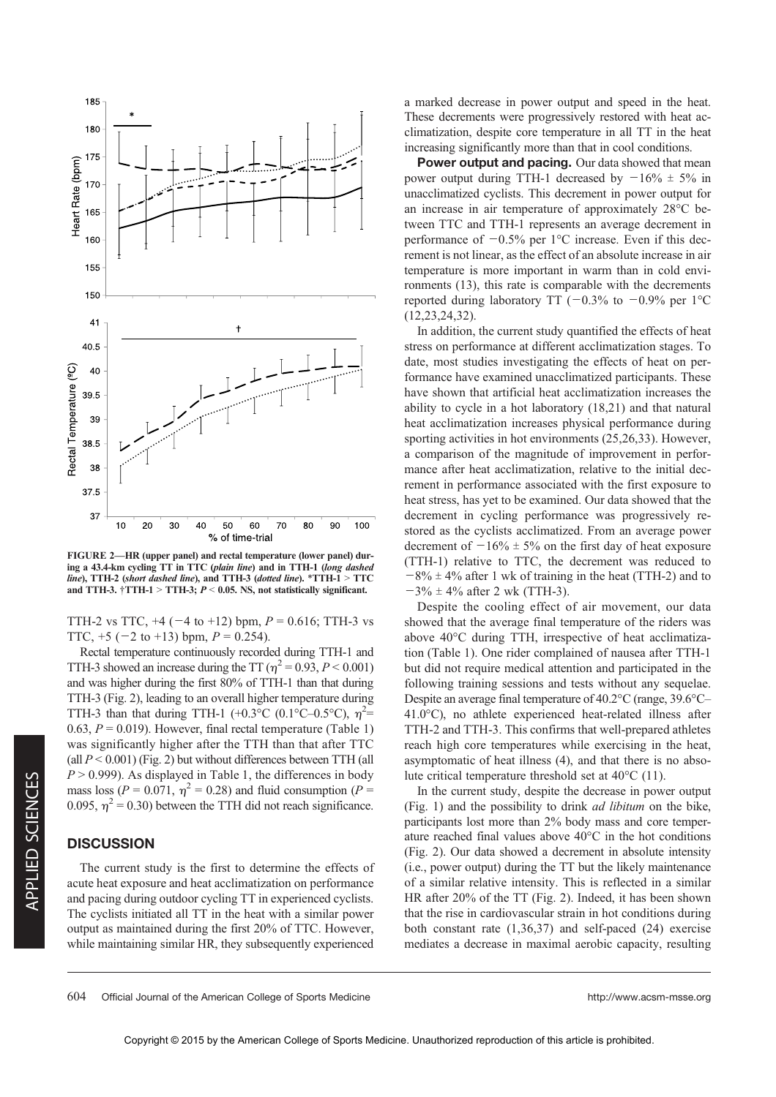

FIGURE 2—HR (upper panel) and rectal temperature (lower panel) during a 43.4-km cycling TT in TTC (plain line) and in TTH-1 (long dashed line), TTH-2 (short dashed line), and TTH-3 (dotted line).  $*TTH-1 > TTC$ and TTH-3.  $\dagger$ TTH-1 > TTH-3;  $P < 0.05$ . NS, not statistically significant.

TTH-2 vs TTC,  $+4$  ( $-4$  to  $+12$ ) bpm,  $P = 0.616$ ; TTH-3 vs TTC,  $+5$  ( $-2$  to  $+13$ ) bpm,  $P = 0.254$ ).

Rectal temperature continuously recorded during TTH-1 and TTH-3 showed an increase during the TT ( $\eta^2$  = 0.93, P < 0.001) and was higher during the first 80% of TTH-1 than that during TTH-3 (Fig. 2), leading to an overall higher temperature during TTH-3 than that during TTH-1 (+0.3°C (0.1°C-0.5°C),  $\eta^2$ = 0.63,  $P = 0.019$ ). However, final rectal temperature (Table 1) was significantly higher after the TTH than that after TTC (all  $P < 0.001$ ) (Fig. 2) but without differences between TTH (all  $P > 0.999$ ). As displayed in Table 1, the differences in body mass loss ( $P = 0.071$ ,  $\eta^2 = 0.28$ ) and fluid consumption ( $P =$ 0.095,  $\eta^2$  = 0.30) between the TTH did not reach significance.

#### **DISCUSSION**

The current study is the first to determine the effects of acute heat exposure and heat acclimatization on performance and pacing during outdoor cycling TT in experienced cyclists. The cyclists initiated all TT in the heat with a similar power output as maintained during the first 20% of TTC. However, while maintaining similar HR, they subsequently experienced a marked decrease in power output and speed in the heat. These decrements were progressively restored with heat acclimatization, despite core temperature in all TT in the heat increasing significantly more than that in cool conditions.

Power output and pacing. Our data showed that mean power output during TTH-1 decreased by  $-16\% \pm 5\%$  in unacclimatized cyclists. This decrement in power output for an increase in air temperature of approximately  $28^{\circ}$ C between TTC and TTH-1 represents an average decrement in performance of  $-0.5\%$  per 1<sup>o</sup>C increase. Even if this decrement is not linear, as the effect of an absolute increase in air temperature is more important in warm than in cold environments (13), this rate is comparable with the decrements reported during laboratory TT ( $-0.3\%$  to  $-0.9\%$  per 1°C (12,23,24,32).

In addition, the current study quantified the effects of heat stress on performance at different acclimatization stages. To date, most studies investigating the effects of heat on performance have examined unacclimatized participants. These have shown that artificial heat acclimatization increases the ability to cycle in a hot laboratory (18,21) and that natural heat acclimatization increases physical performance during sporting activities in hot environments (25,26,33). However, a comparison of the magnitude of improvement in performance after heat acclimatization, relative to the initial decrement in performance associated with the first exposure to heat stress, has yet to be examined. Our data showed that the decrement in cycling performance was progressively restored as the cyclists acclimatized. From an average power decrement of  $-16\% \pm 5\%$  on the first day of heat exposure (TTH-1) relative to TTC, the decrement was reduced to  $-8\% \pm 4\%$  after 1 wk of training in the heat (TTH-2) and to  $-3\% \pm 4\%$  after 2 wk (TTH-3).

Despite the cooling effect of air movement, our data showed that the average final temperature of the riders was above  $40^{\circ}$ C during TTH, irrespective of heat acclimatization (Table 1). One rider complained of nausea after TTH-1 but did not require medical attention and participated in the following training sessions and tests without any sequelae. Despite an average final temperature of  $40.2^{\circ}$ C (range,  $39.6^{\circ}$ C- $41.0^{\circ}$ C), no athlete experienced heat-related illness after TTH-2 and TTH-3. This confirms that well-prepared athletes reach high core temperatures while exercising in the heat, asymptomatic of heat illness (4), and that there is no absolute critical temperature threshold set at  $40^{\circ}$ C (11).

In the current study, despite the decrease in power output (Fig. 1) and the possibility to drink ad libitum on the bike, participants lost more than 2% body mass and core temperature reached final values above  $40^{\circ}$ C in the hot conditions (Fig. 2). Our data showed a decrement in absolute intensity (i.e., power output) during the TT but the likely maintenance of a similar relative intensity. This is reflected in a similar HR after 20% of the TT (Fig. 2). Indeed, it has been shown that the rise in cardiovascular strain in hot conditions during both constant rate (1,36,37) and self-paced (24) exercise mediates a decrease in maximal aerobic capacity, resulting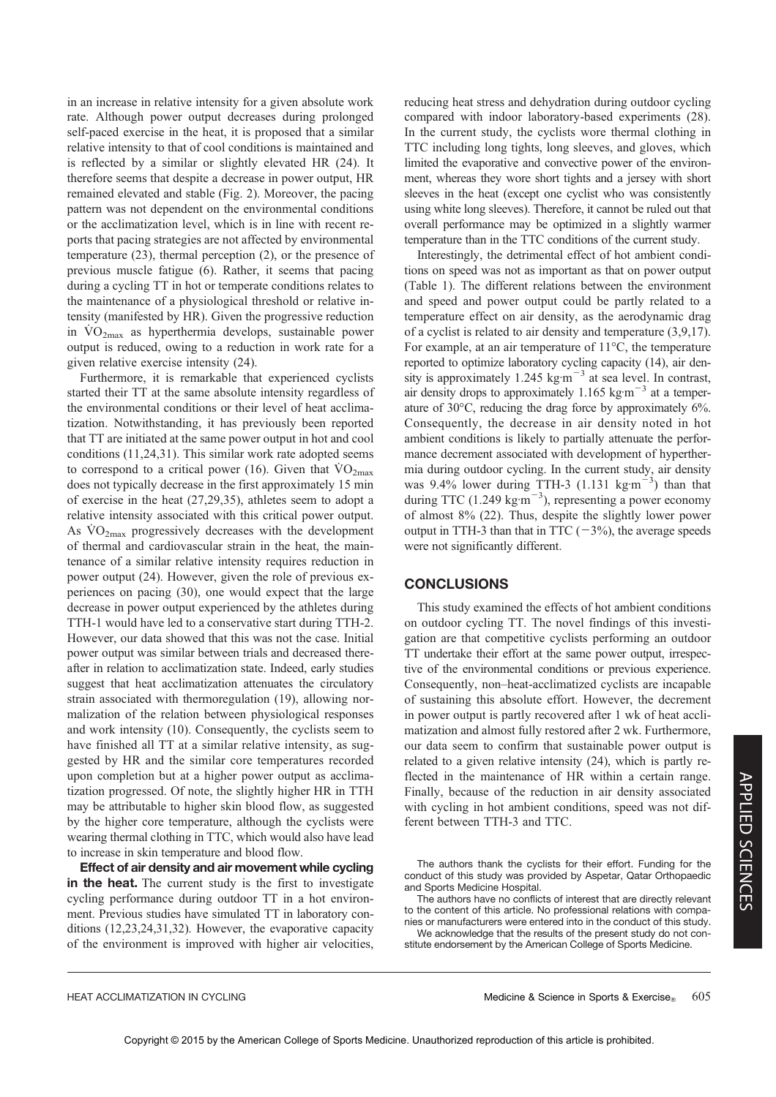in an increase in relative intensity for a given absolute work rate. Although power output decreases during prolonged self-paced exercise in the heat, it is proposed that a similar relative intensity to that of cool conditions is maintained and is reflected by a similar or slightly elevated HR (24). It therefore seems that despite a decrease in power output, HR remained elevated and stable (Fig. 2). Moreover, the pacing pattern was not dependent on the environmental conditions or the acclimatization level, which is in line with recent reports that pacing strategies are not affected by environmental temperature (23), thermal perception (2), or the presence of previous muscle fatigue (6). Rather, it seems that pacing during a cycling TT in hot or temperate conditions relates to the maintenance of a physiological threshold or relative intensity (manifested by HR). Given the progressive reduction in  $VO<sub>2max</sub>$  as hyperthermia develops, sustainable power output is reduced, owing to a reduction in work rate for a given relative exercise intensity (24).

Furthermore, it is remarkable that experienced cyclists started their TT at the same absolute intensity regardless of the environmental conditions or their level of heat acclimatization. Notwithstanding, it has previously been reported that TT are initiated at the same power output in hot and cool conditions (11,24,31). This similar work rate adopted seems to correspond to a critical power (16). Given that  $\rm \dot{VO}_{2max}$ does not typically decrease in the first approximately 15 min of exercise in the heat (27,29,35), athletes seem to adopt a relative intensity associated with this critical power output. As  $\rm \dot{VO}_{2max}$  progressively decreases with the development of thermal and cardiovascular strain in the heat, the maintenance of a similar relative intensity requires reduction in power output (24). However, given the role of previous experiences on pacing (30), one would expect that the large decrease in power output experienced by the athletes during TTH-1 would have led to a conservative start during TTH-2. However, our data showed that this was not the case. Initial power output was similar between trials and decreased thereafter in relation to acclimatization state. Indeed, early studies suggest that heat acclimatization attenuates the circulatory strain associated with thermoregulation (19), allowing normalization of the relation between physiological responses and work intensity (10). Consequently, the cyclists seem to have finished all TT at a similar relative intensity, as suggested by HR and the similar core temperatures recorded upon completion but at a higher power output as acclimatization progressed. Of note, the slightly higher HR in TTH may be attributable to higher skin blood flow, as suggested by the higher core temperature, although the cyclists were wearing thermal clothing in TTC, which would also have lead to increase in skin temperature and blood flow.

Effect of air density and air movement while cycling in the heat. The current study is the first to investigate cycling performance during outdoor TT in a hot environment. Previous studies have simulated TT in laboratory conditions (12,23,24,31,32). However, the evaporative capacity of the environment is improved with higher air velocities, reducing heat stress and dehydration during outdoor cycling compared with indoor laboratory-based experiments (28). In the current study, the cyclists wore thermal clothing in TTC including long tights, long sleeves, and gloves, which limited the evaporative and convective power of the environment, whereas they wore short tights and a jersey with short sleeves in the heat (except one cyclist who was consistently using white long sleeves). Therefore, it cannot be ruled out that overall performance may be optimized in a slightly warmer temperature than in the TTC conditions of the current study.

Interestingly, the detrimental effect of hot ambient conditions on speed was not as important as that on power output (Table 1). The different relations between the environment and speed and power output could be partly related to a temperature effect on air density, as the aerodynamic drag of a cyclist is related to air density and temperature (3,9,17). For example, at an air temperature of  $11^{\circ}$ C, the temperature reported to optimize laboratory cycling capacity (14), air density is approximately 1.245 kg m<sup> $-3$ </sup> at sea level. In contrast, air density drops to approximately 1.165 kg $m^{-3}$  at a temperature of  $30^{\circ}$ C, reducing the drag force by approximately 6%. Consequently, the decrease in air density noted in hot ambient conditions is likely to partially attenuate the performance decrement associated with development of hyperthermia during outdoor cycling. In the current study, air density was 9.4% lower during TTH-3  $(1.131 \text{ kg} \cdot \text{m}^{-3})$  than that during TTC (1.249 kg·m<sup> $-3$ </sup>), representing a power economy of almost 8% (22). Thus, despite the slightly lower power output in TTH-3 than that in TTC  $(-3\%)$ , the average speeds were not significantly different.

# **CONCLUSIONS**

This study examined the effects of hot ambient conditions on outdoor cycling TT. The novel findings of this investigation are that competitive cyclists performing an outdoor TT undertake their effort at the same power output, irrespective of the environmental conditions or previous experience. Consequently, non–heat-acclimatized cyclists are incapable of sustaining this absolute effort. However, the decrement in power output is partly recovered after 1 wk of heat acclimatization and almost fully restored after 2 wk. Furthermore, our data seem to confirm that sustainable power output is related to a given relative intensity (24), which is partly reflected in the maintenance of HR within a certain range. Finally, because of the reduction in air density associated with cycling in hot ambient conditions, speed was not different between TTH-3 and TTC.

The authors thank the cyclists for their effort. Funding for the conduct of this study was provided by Aspetar, Qatar Orthopaedic and Sports Medicine Hospital.

The authors have no conflicts of interest that are directly relevant to the content of this article. No professional relations with companies or manufacturers were entered into in the conduct of this study.

We acknowledge that the results of the present study do not constitute endorsement by the American College of Sports Medicine.